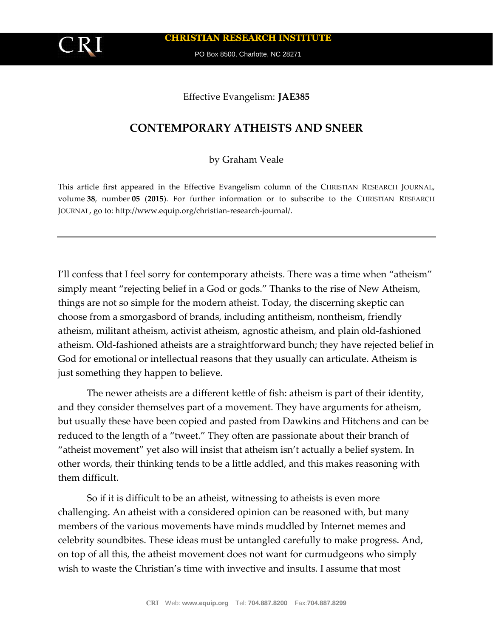**CHRISTIAN RESEARCH INSTITUTE**

PO Box 8500, Charlotte, NC 28271

## Effective Evangelism: **JAE385**

## **CONTEMPORARY ATHEISTS AND SNEER**

by Graham Veale

This article first appeared in the Effective Evangelism column of the CHRISTIAN RESEARCH JOURNAL, volume **38**, number **05** (**2015**). For further information or to subscribe to the CHRISTIAN RESEARCH JOURNAL, go to: http://www.equip.org/christian-research-journal/.

I'll confess that I feel sorry for contemporary atheists. There was a time when "atheism" simply meant "rejecting belief in a God or gods." Thanks to the rise of New Atheism, things are not so simple for the modern atheist. Today, the discerning skeptic can choose from a smorgasbord of brands, including antitheism, nontheism, friendly atheism, militant atheism, activist atheism, agnostic atheism, and plain old-fashioned atheism. Old-fashioned atheists are a straightforward bunch; they have rejected belief in God for emotional or intellectual reasons that they usually can articulate. Atheism is just something they happen to believe.

The newer atheists are a different kettle of fish: atheism is part of their identity, and they consider themselves part of a movement. They have arguments for atheism, but usually these have been copied and pasted from Dawkins and Hitchens and can be reduced to the length of a "tweet." They often are passionate about their branch of "atheist movement" yet also will insist that atheism isn't actually a belief system. In other words, their thinking tends to be a little addled, and this makes reasoning with them difficult.

So if it is difficult to be an atheist, witnessing to atheists is even more challenging. An atheist with a considered opinion can be reasoned with, but many members of the various movements have minds muddled by Internet memes and celebrity soundbites. These ideas must be untangled carefully to make progress. And, on top of all this, the atheist movement does not want for curmudgeons who simply wish to waste the Christian's time with invective and insults. I assume that most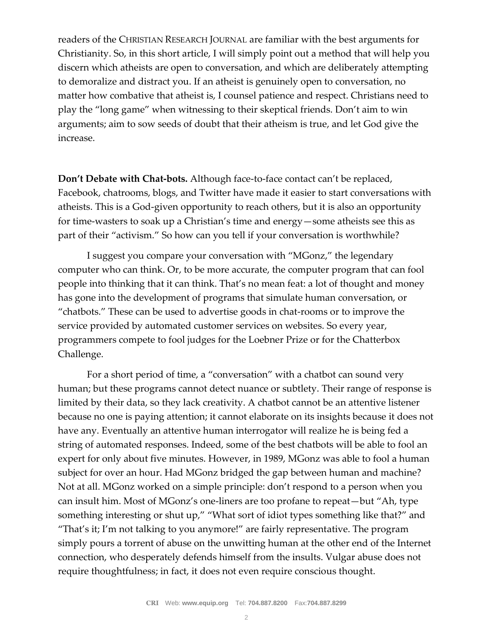readers of the CHRISTIAN RESEARCH JOURNAL are familiar with the best arguments for Christianity. So, in this short article, I will simply point out a method that will help you discern which atheists are open to conversation, and which are deliberately attempting to demoralize and distract you. If an atheist is genuinely open to conversation, no matter how combative that atheist is, I counsel patience and respect. Christians need to play the "long game" when witnessing to their skeptical friends. Don't aim to win arguments; aim to sow seeds of doubt that their atheism is true, and let God give the increase.

**Don't Debate with Chat-bots.** Although face-to-face contact can't be replaced, Facebook, chatrooms, blogs, and Twitter have made it easier to start conversations with atheists. This is a God-given opportunity to reach others, but it is also an opportunity for time-wasters to soak up a Christian's time and energy—some atheists see this as part of their "activism." So how can you tell if your conversation is worthwhile?

I suggest you compare your conversation with "MGonz," the legendary computer who can think. Or, to be more accurate, the computer program that can fool people into thinking that it can think. That's no mean feat: a lot of thought and money has gone into the development of programs that simulate human conversation, or "chatbots." These can be used to advertise goods in chat-rooms or to improve the service provided by automated customer services on websites. So every year, programmers compete to fool judges for the Loebner Prize or for the Chatterbox Challenge.

For a short period of time, a "conversation" with a chatbot can sound very human; but these programs cannot detect nuance or subtlety. Their range of response is limited by their data, so they lack creativity. A chatbot cannot be an attentive listener because no one is paying attention; it cannot elaborate on its insights because it does not have any. Eventually an attentive human interrogator will realize he is being fed a string of automated responses. Indeed, some of the best chatbots will be able to fool an expert for only about five minutes. However, in 1989, MGonz was able to fool a human subject for over an hour. Had MGonz bridged the gap between human and machine? Not at all. MGonz worked on a simple principle: don't respond to a person when you can insult him. Most of MGonz's one-liners are too profane to repeat—but "Ah, type something interesting or shut up," "What sort of idiot types something like that?" and "That's it; I'm not talking to you anymore!" are fairly representative. The program simply pours a torrent of abuse on the unwitting human at the other end of the Internet connection, who desperately defends himself from the insults. Vulgar abuse does not require thoughtfulness; in fact, it does not even require conscious thought.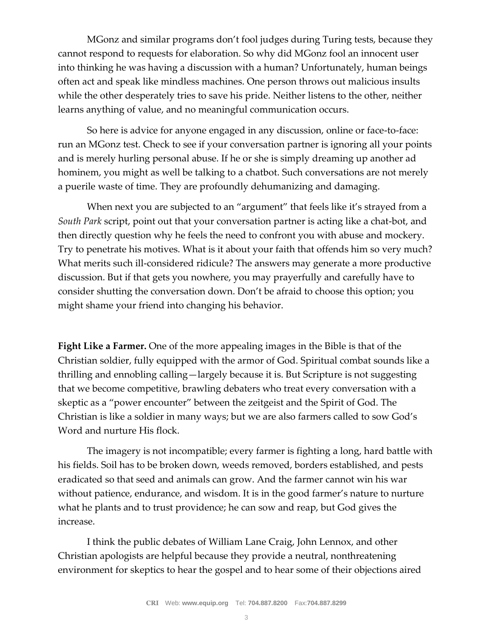MGonz and similar programs don't fool judges during Turing tests, because they cannot respond to requests for elaboration. So why did MGonz fool an innocent user into thinking he was having a discussion with a human? Unfortunately, human beings often act and speak like mindless machines. One person throws out malicious insults while the other desperately tries to save his pride. Neither listens to the other, neither learns anything of value, and no meaningful communication occurs.

So here is advice for anyone engaged in any discussion, online or face-to-face: run an MGonz test. Check to see if your conversation partner is ignoring all your points and is merely hurling personal abuse. If he or she is simply dreaming up another ad hominem, you might as well be talking to a chatbot. Such conversations are not merely a puerile waste of time. They are profoundly dehumanizing and damaging.

When next you are subjected to an "argument" that feels like it's strayed from a *South Park* script, point out that your conversation partner is acting like a chat-bot, and then directly question why he feels the need to confront you with abuse and mockery. Try to penetrate his motives. What is it about your faith that offends him so very much? What merits such ill-considered ridicule? The answers may generate a more productive discussion. But if that gets you nowhere, you may prayerfully and carefully have to consider shutting the conversation down. Don't be afraid to choose this option; you might shame your friend into changing his behavior.

**Fight Like a Farmer.** One of the more appealing images in the Bible is that of the Christian soldier, fully equipped with the armor of God. Spiritual combat sounds like a thrilling and ennobling calling—largely because it is. But Scripture is not suggesting that we become competitive, brawling debaters who treat every conversation with a skeptic as a "power encounter" between the zeitgeist and the Spirit of God. The Christian is like a soldier in many ways; but we are also farmers called to sow God's Word and nurture His flock.

The imagery is not incompatible; every farmer is fighting a long, hard battle with his fields. Soil has to be broken down, weeds removed, borders established, and pests eradicated so that seed and animals can grow. And the farmer cannot win his war without patience, endurance, and wisdom. It is in the good farmer's nature to nurture what he plants and to trust providence; he can sow and reap, but God gives the increase.

I think the public debates of William Lane Craig, John Lennox, and other Christian apologists are helpful because they provide a neutral, nonthreatening environment for skeptics to hear the gospel and to hear some of their objections aired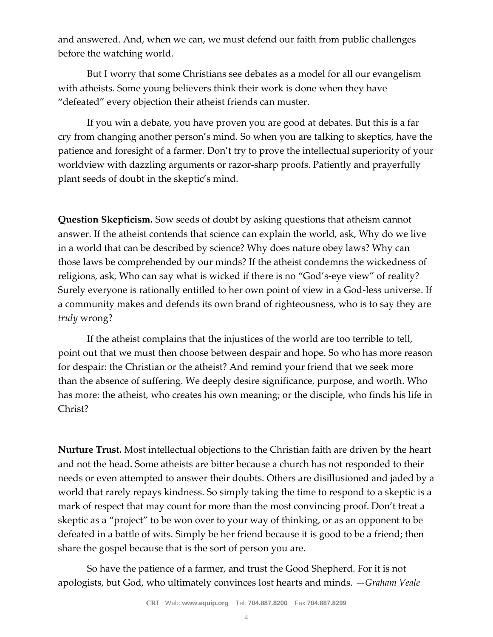and answered. And, when we can, we must defend our faith from public challenges before the watching world.

But I worry that some Christians see debates as a model for all our evangelism with atheists. Some young believers think their work is done when they have "defeated" every objection their atheist friends can muster.

If you win a debate, you have proven you are good at debates. But this is a far cry from changing another person's mind. So when you are talking to skeptics, have the patience and foresight of a farmer. Don't try to prove the intellectual superiority of your worldview with dazzling arguments or razor-sharp proofs. Patiently and prayerfully plant seeds of doubt in the skeptic's mind.

**Question Skepticism.** Sow seeds of doubt by asking questions that atheism cannot answer. If the atheist contends that science can explain the world, ask, Why do we live in a world that can be described by science? Why does nature obey laws? Why can those laws be comprehended by our minds? If the atheist condemns the wickedness of religions, ask, Who can say what is wicked if there is no "God's-eye view" of reality? Surely everyone is rationally entitled to her own point of view in a God-less universe. If a community makes and defends its own brand of righteousness, who is to say they are *truly* wrong?

If the atheist complains that the injustices of the world are too terrible to tell, point out that we must then choose between despair and hope. So who has more reason for despair: the Christian or the atheist? And remind your friend that we seek more than the absence of suffering. We deeply desire significance, purpose, and worth. Who has more: the atheist, who creates his own meaning; or the disciple, who finds his life in Christ?

**Nurture Trust.** Most intellectual objections to the Christian faith are driven by the heart and not the head. Some atheists are bitter because a church has not responded to their needs or even attempted to answer their doubts. Others are disillusioned and jaded by a world that rarely repays kindness. So simply taking the time to respond to a skeptic is a mark of respect that may count for more than the most convincing proof. Don't treat a skeptic as a "project" to be won over to your way of thinking, or as an opponent to be defeated in a battle of wits. Simply be her friend because it is good to be a friend; then share the gospel because that is the sort of person you are.

So have the patience of a farmer, and trust the Good Shepherd. For it is not apologists, but God, who ultimately convinces lost hearts and minds. *—Graham Veale*